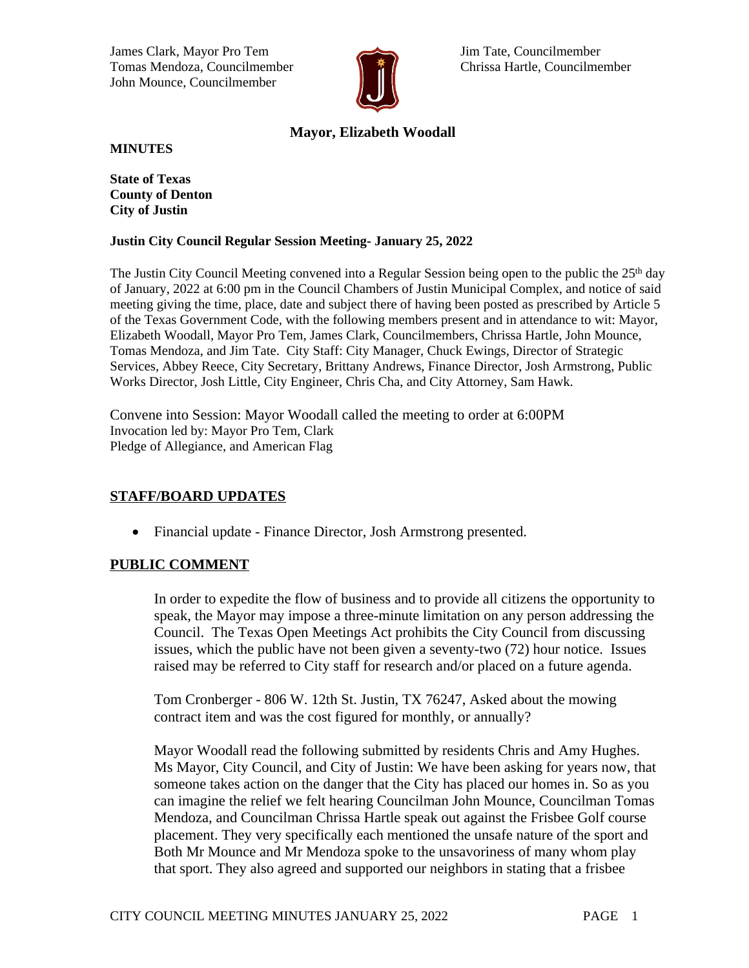James Clark, Mayor Pro Tem Jim Tate, Councilmember Tomas Mendoza, Councilmember **Christian Hartle, Councilmember** Chrissa Hartle, Councilmember John Mounce, Councilmember



# **Mayor, Elizabeth Woodall**

**MINUTES**

**State of Texas County of Denton City of Justin**

#### **Justin City Council Regular Session Meeting- January 25, 2022**

The Justin City Council Meeting convened into a Regular Session being open to the public the  $25<sup>th</sup>$  day of January, 2022 at 6:00 pm in the Council Chambers of Justin Municipal Complex, and notice of said meeting giving the time, place, date and subject there of having been posted as prescribed by Article 5 of the Texas Government Code, with the following members present and in attendance to wit: Mayor, Elizabeth Woodall, Mayor Pro Tem, James Clark, Councilmembers, Chrissa Hartle, John Mounce, Tomas Mendoza, and Jim Tate. City Staff: City Manager, Chuck Ewings, Director of Strategic Services, Abbey Reece, City Secretary, Brittany Andrews, Finance Director, Josh Armstrong, Public Works Director, Josh Little, City Engineer, Chris Cha, and City Attorney, Sam Hawk.

Convene into Session: Mayor Woodall called the meeting to order at 6:00PM Invocation led by: Mayor Pro Tem, Clark Pledge of Allegiance, and American Flag

# **STAFF/BOARD UPDATES**

• Financial update - Finance Director, Josh Armstrong presented.

# **PUBLIC COMMENT**

In order to expedite the flow of business and to provide all citizens the opportunity to speak, the Mayor may impose a three-minute limitation on any person addressing the Council. The Texas Open Meetings Act prohibits the City Council from discussing issues, which the public have not been given a seventy-two (72) hour notice. Issues raised may be referred to City staff for research and/or placed on a future agenda.

Tom Cronberger - 806 W. 12th St. Justin, TX 76247, Asked about the mowing contract item and was the cost figured for monthly, or annually?

Mayor Woodall read the following submitted by residents Chris and Amy Hughes. Ms Mayor, City Council, and City of Justin: We have been asking for years now, that someone takes action on the danger that the City has placed our homes in. So as you can imagine the relief we felt hearing Councilman John Mounce, Councilman Tomas Mendoza, and Councilman Chrissa Hartle speak out against the Frisbee Golf course placement. They very specifically each mentioned the unsafe nature of the sport and Both Mr Mounce and Mr Mendoza spoke to the unsavoriness of many whom play that sport. They also agreed and supported our neighbors in stating that a frisbee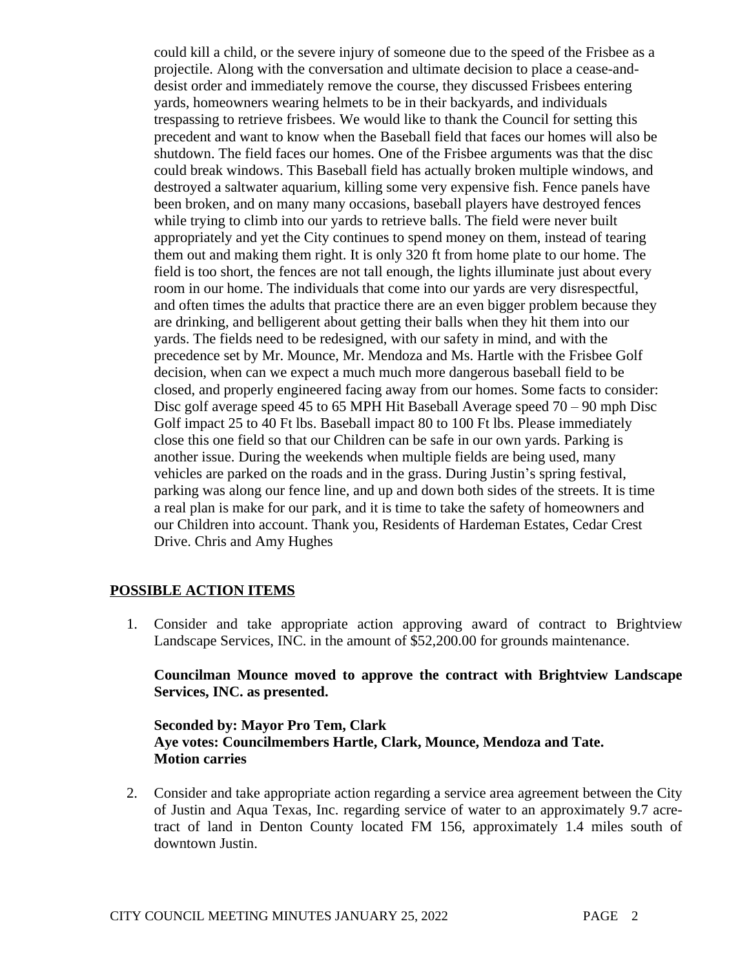could kill a child, or the severe injury of someone due to the speed of the Frisbee as a projectile. Along with the conversation and ultimate decision to place a cease-anddesist order and immediately remove the course, they discussed Frisbees entering yards, homeowners wearing helmets to be in their backyards, and individuals trespassing to retrieve frisbees. We would like to thank the Council for setting this precedent and want to know when the Baseball field that faces our homes will also be shutdown. The field faces our homes. One of the Frisbee arguments was that the disc could break windows. This Baseball field has actually broken multiple windows, and destroyed a saltwater aquarium, killing some very expensive fish. Fence panels have been broken, and on many many occasions, baseball players have destroyed fences while trying to climb into our yards to retrieve balls. The field were never built appropriately and yet the City continues to spend money on them, instead of tearing them out and making them right. It is only 320 ft from home plate to our home. The field is too short, the fences are not tall enough, the lights illuminate just about every room in our home. The individuals that come into our yards are very disrespectful, and often times the adults that practice there are an even bigger problem because they are drinking, and belligerent about getting their balls when they hit them into our yards. The fields need to be redesigned, with our safety in mind, and with the precedence set by Mr. Mounce, Mr. Mendoza and Ms. Hartle with the Frisbee Golf decision, when can we expect a much much more dangerous baseball field to be closed, and properly engineered facing away from our homes. Some facts to consider: Disc golf average speed 45 to 65 MPH Hit Baseball Average speed 70 – 90 mph Disc Golf impact 25 to 40 Ft lbs. Baseball impact 80 to 100 Ft lbs. Please immediately close this one field so that our Children can be safe in our own yards. Parking is another issue. During the weekends when multiple fields are being used, many vehicles are parked on the roads and in the grass. During Justin's spring festival, parking was along our fence line, and up and down both sides of the streets. It is time a real plan is make for our park, and it is time to take the safety of homeowners and our Children into account. Thank you, Residents of Hardeman Estates, Cedar Crest Drive. Chris and Amy Hughes

# **POSSIBLE ACTION ITEMS**

1. Consider and take appropriate action approving award of contract to Brightview Landscape Services, INC. in the amount of \$52,200.00 for grounds maintenance.

### **Councilman Mounce moved to approve the contract with Brightview Landscape Services, INC. as presented.**

### **Seconded by: Mayor Pro Tem, Clark Aye votes: Councilmembers Hartle, Clark, Mounce, Mendoza and Tate. Motion carries**

2. Consider and take appropriate action regarding a service area agreement between the City of Justin and Aqua Texas, Inc. regarding service of water to an approximately 9.7 acretract of land in Denton County located FM 156, approximately 1.4 miles south of downtown Justin.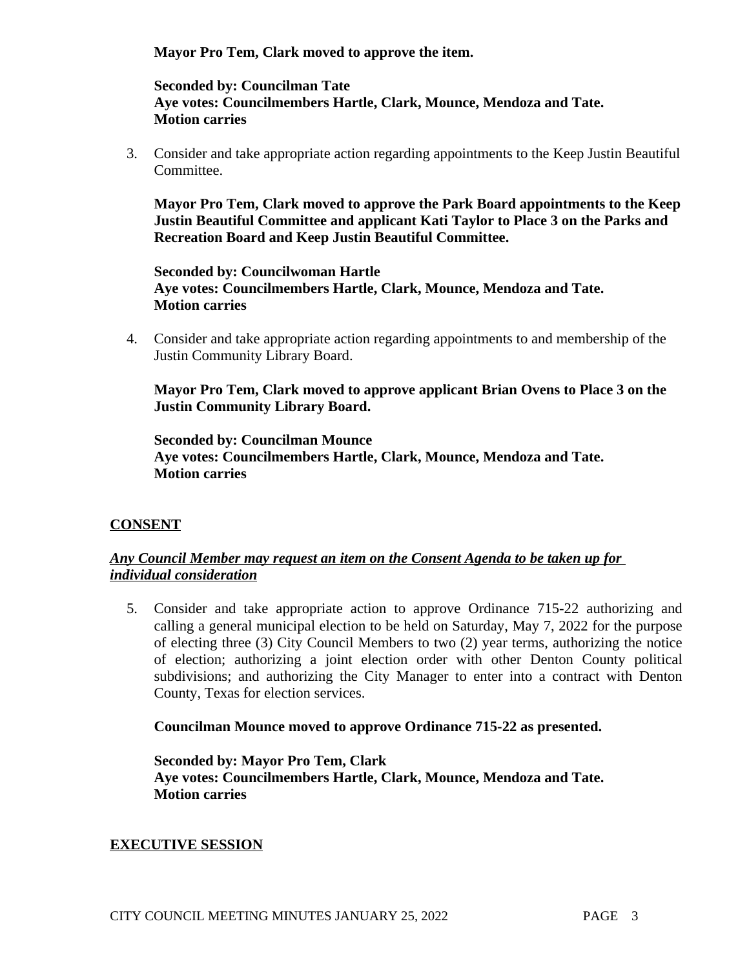**Mayor Pro Tem, Clark moved to approve the item.**

**Seconded by: Councilman Tate Aye votes: Councilmembers Hartle, Clark, Mounce, Mendoza and Tate. Motion carries**

3. Consider and take appropriate action regarding appointments to the Keep Justin Beautiful Committee.

**Mayor Pro Tem, Clark moved to approve the Park Board appointments to the Keep Justin Beautiful Committee and applicant Kati Taylor to Place 3 on the Parks and Recreation Board and Keep Justin Beautiful Committee.** 

**Seconded by: Councilwoman Hartle Aye votes: Councilmembers Hartle, Clark, Mounce, Mendoza and Tate. Motion carries**

4. Consider and take appropriate action regarding appointments to and membership of the Justin Community Library Board.

**Mayor Pro Tem, Clark moved to approve applicant Brian Ovens to Place 3 on the Justin Community Library Board.** 

**Seconded by: Councilman Mounce Aye votes: Councilmembers Hartle, Clark, Mounce, Mendoza and Tate. Motion carries**

# **CONSENT**

# *Any Council Member may request an item on the Consent Agenda to be taken up for individual consideration*

5. Consider and take appropriate action to approve Ordinance 715-22 authorizing and calling a general municipal election to be held on Saturday, May 7, 2022 for the purpose of electing three (3) City Council Members to two (2) year terms, authorizing the notice of election; authorizing a joint election order with other Denton County political subdivisions; and authorizing the City Manager to enter into a contract with Denton County, Texas for election services.

# **Councilman Mounce moved to approve Ordinance 715-22 as presented.**

**Seconded by: Mayor Pro Tem, Clark Aye votes: Councilmembers Hartle, Clark, Mounce, Mendoza and Tate. Motion carries**

# **EXECUTIVE SESSION**